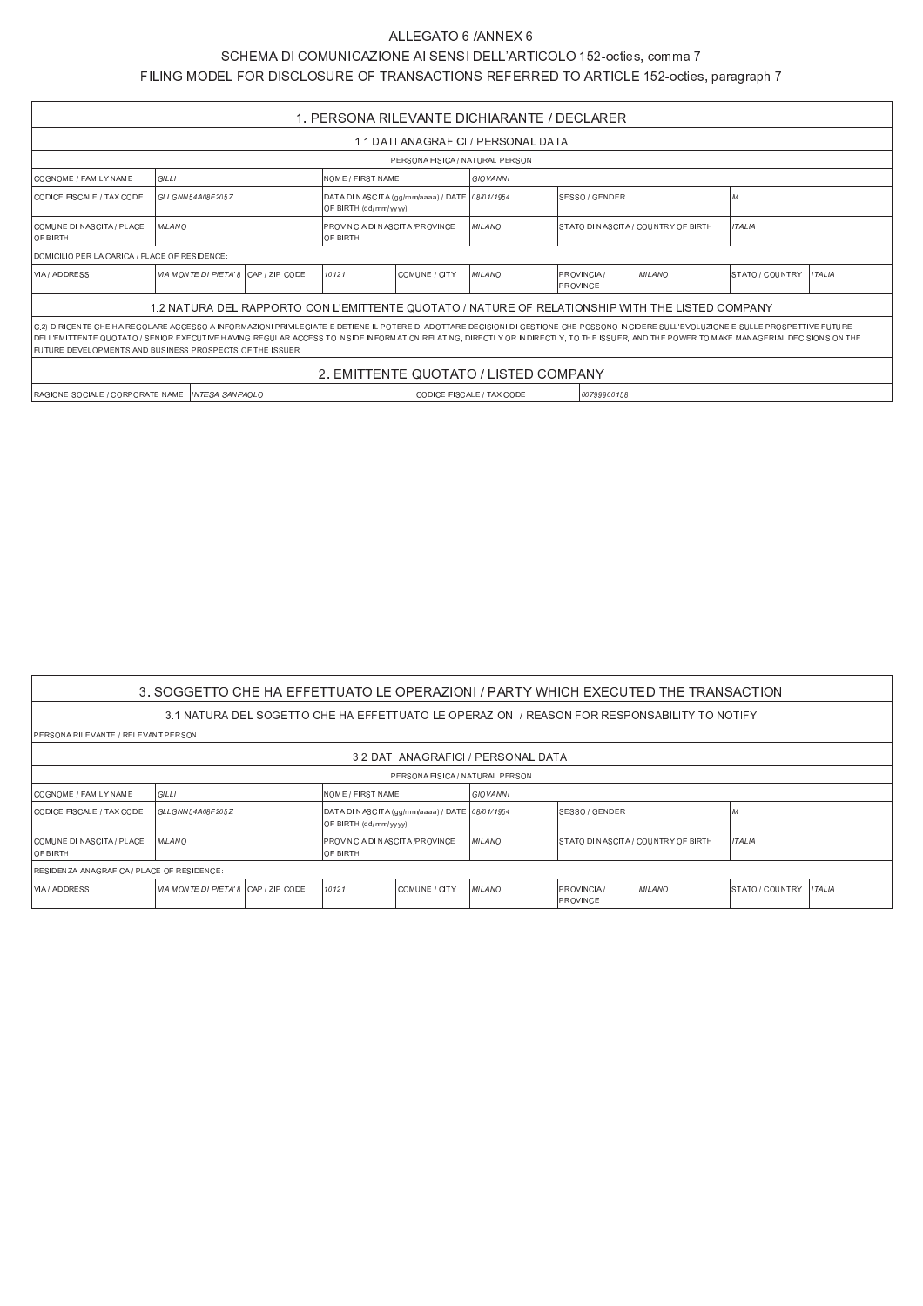## ALLEGATO 6 / ANNEX 6

## SCHEMA DI COMUNICAZIONE AI SENSI DELL'ARTICOLO 152-octies, comma 7

FILING MODEL FOR DISCLOSURE OF TRANSACTIONS REFERRED TO ARTICLE 152-octies, paragraph 7

| 1. PERSONA RILEVANTE DICHIARANTE / DECLARER                                                                                                                                                                                                                                                                                                                                                                                                        |                                                                                                  |  |                                                                         |  |               |  |                                           |  |                      |         |  |  |
|----------------------------------------------------------------------------------------------------------------------------------------------------------------------------------------------------------------------------------------------------------------------------------------------------------------------------------------------------------------------------------------------------------------------------------------------------|--------------------------------------------------------------------------------------------------|--|-------------------------------------------------------------------------|--|---------------|--|-------------------------------------------|--|----------------------|---------|--|--|
| 1.1 DATI ANAGRAFICI / PERSONAL DATA                                                                                                                                                                                                                                                                                                                                                                                                                |                                                                                                  |  |                                                                         |  |               |  |                                           |  |                      |         |  |  |
| PERSONA FISICA / NATURAL PERSON                                                                                                                                                                                                                                                                                                                                                                                                                    |                                                                                                  |  |                                                                         |  |               |  |                                           |  |                      |         |  |  |
| <b>GILLI</b><br>NOME / FIRST NAME<br>ICOGNOME / FAMII Y NAME<br><b>GIOVANNI</b>                                                                                                                                                                                                                                                                                                                                                                    |                                                                                                  |  |                                                                         |  |               |  |                                           |  |                      |         |  |  |
| CODICE FISCALE / TAX CODE                                                                                                                                                                                                                                                                                                                                                                                                                          | GLLGNN54A08F205Z                                                                                 |  | DATA DI NASCITA (gg/mm/aaaa) / DATE 08/01/1954<br>OF BIRTH (dd/mm/vvvv) |  |               |  | SFSSO / GENDER                            |  |                      |         |  |  |
| COMUNE DINASCITA / PIACE<br><b>OF BIRTH</b>                                                                                                                                                                                                                                                                                                                                                                                                        | <b>MILANO</b>                                                                                    |  | PROVINCIA DI NASCITA / PROVINCE<br>IOF BIRTH                            |  | MII ANO       |  | ISTATO DINASCITA / COUNTRY OF BIRTH       |  | <i><b>ITALIA</b></i> |         |  |  |
| DOMICILIO PER LA CARICA / PLACE OF RESIDENCE:                                                                                                                                                                                                                                                                                                                                                                                                      |                                                                                                  |  |                                                                         |  |               |  |                                           |  |                      |         |  |  |
| VIA / ADDRESS                                                                                                                                                                                                                                                                                                                                                                                                                                      | VIA MONTE DI PIETA' 8 CAP / 7 IP CODE                                                            |  | 10121<br>COMUNE / CITY                                                  |  | <b>MILANO</b> |  | MII ANO<br><b>PROVINCIA</b> /<br>PROVINCE |  | STATO / COUNTRY      | ITAI IA |  |  |
|                                                                                                                                                                                                                                                                                                                                                                                                                                                    | 1.2 NATURA DEL RAPPORTO CON L'EMITTENTE QUOTATO / NATURE OF RELATIONSHIP WITH THE LISTED COMPANY |  |                                                                         |  |               |  |                                           |  |                      |         |  |  |
| IC.2) DIRIGENTE CHE HA REGOLARE ACCESSO A INFORMAZIONI PRIVILEGIATE E DETIENE IL POTERE DI ADOTTARE DECISIONI DI GESTIONE CHE POSSONO INCIDERE SULL'EVOLUZIONE E SULLE PROSPETTIVE FUTURE<br>IDELL'EMITTENTE QUOTATO / SENIOR EXECUTIVE HAVING REGULAR ACCESS TO INSIDE INFORMATION RELATING. DIRECTLY OR INDIRECTLY. TO THE ISSUER. AND THE POWER TO MAKE MANAGERIAL DECISIONS ON THE<br>FUTURE DEVELOPMENTS AND BUSINESS PROSPECTS OF THE ISSUER |                                                                                                  |  |                                                                         |  |               |  |                                           |  |                      |         |  |  |
| 2. EMITTENTE QUOTATO / LISTED COMPANY                                                                                                                                                                                                                                                                                                                                                                                                              |                                                                                                  |  |                                                                         |  |               |  |                                           |  |                      |         |  |  |
| CODICE FISCALE / TAX CODE<br>00799960158<br>IRAGIONE SOCIALE / CORPORATE NAME I <i>INTESA SANPAOLO</i>                                                                                                                                                                                                                                                                                                                                             |                                                                                                  |  |                                                                         |  |               |  |                                           |  |                      |         |  |  |

| 3. SOGGETTO CHE HA EFFETTUATO LE OPERAZIONI / PARTY WHICH EXECUTED THE TRANSACTION |                                       |  |                                                                         |                                 |                                     |                                      |                                                                                              |                        |               |  |  |
|------------------------------------------------------------------------------------|---------------------------------------|--|-------------------------------------------------------------------------|---------------------------------|-------------------------------------|--------------------------------------|----------------------------------------------------------------------------------------------|------------------------|---------------|--|--|
|                                                                                    |                                       |  |                                                                         |                                 |                                     |                                      | 3.1 NATURA DEL SOGETTO CHE HA EFFETTUATO LE OPERAZIONI / REASON FOR RESPONSABILITY TO NOTIFY |                        |               |  |  |
| IPERSONA RILEVANTE / RELEVANT PERSON                                               |                                       |  |                                                                         |                                 |                                     |                                      |                                                                                              |                        |               |  |  |
|                                                                                    |                                       |  |                                                                         |                                 | 3.2 DATI ANAGRAFICI / PERSONAL DATA |                                      |                                                                                              |                        |               |  |  |
|                                                                                    |                                       |  |                                                                         | PERSONA FISICA / NATURAL PERSON |                                     |                                      |                                                                                              |                        |               |  |  |
| COGNOME / FAMILY NAME                                                              | GILLI                                 |  | NOME / FIRST NAME                                                       |                                 | GIOVANNI                            |                                      |                                                                                              |                        |               |  |  |
| CODICE FISCALE / TAX CODE                                                          | GLLGNN54A08F205Z                      |  | DATA DI NASCITA (gg/mm/aaaa) / DATE 08/01/1954<br>OF BIRTH (dd/mm/yyyy) |                                 |                                     | SESSO / GENDER                       |                                                                                              |                        |               |  |  |
| COMUNE DINASCITA / PLACE<br><b>OF BIRTH</b>                                        | <b>MILANO</b>                         |  | PROVINCIA DI NASCITA /PROVINCE<br>IOF BIRTH                             |                                 | <b>MILANO</b>                       | ISTATO DI NASCITA / COUNTRY OF BIRTH |                                                                                              | <b>ITALIA</b>          |               |  |  |
| RESIDENZA ANAGRAFICA / PLACE OF RESIDENCE:                                         |                                       |  |                                                                         |                                 |                                     |                                      |                                                                                              |                        |               |  |  |
| VIA / ADDRESS                                                                      | VIA MONTE DI PIETA' 8 ICAP / ZIP CODE |  | 10121                                                                   | COMUNE / CITY                   | <b>MILANO</b>                       | <b>PROVINCIA</b> /<br>PROVINCE       | <i>MILANO</i>                                                                                | <b>STATO / COUNTRY</b> | <b>ITALIA</b> |  |  |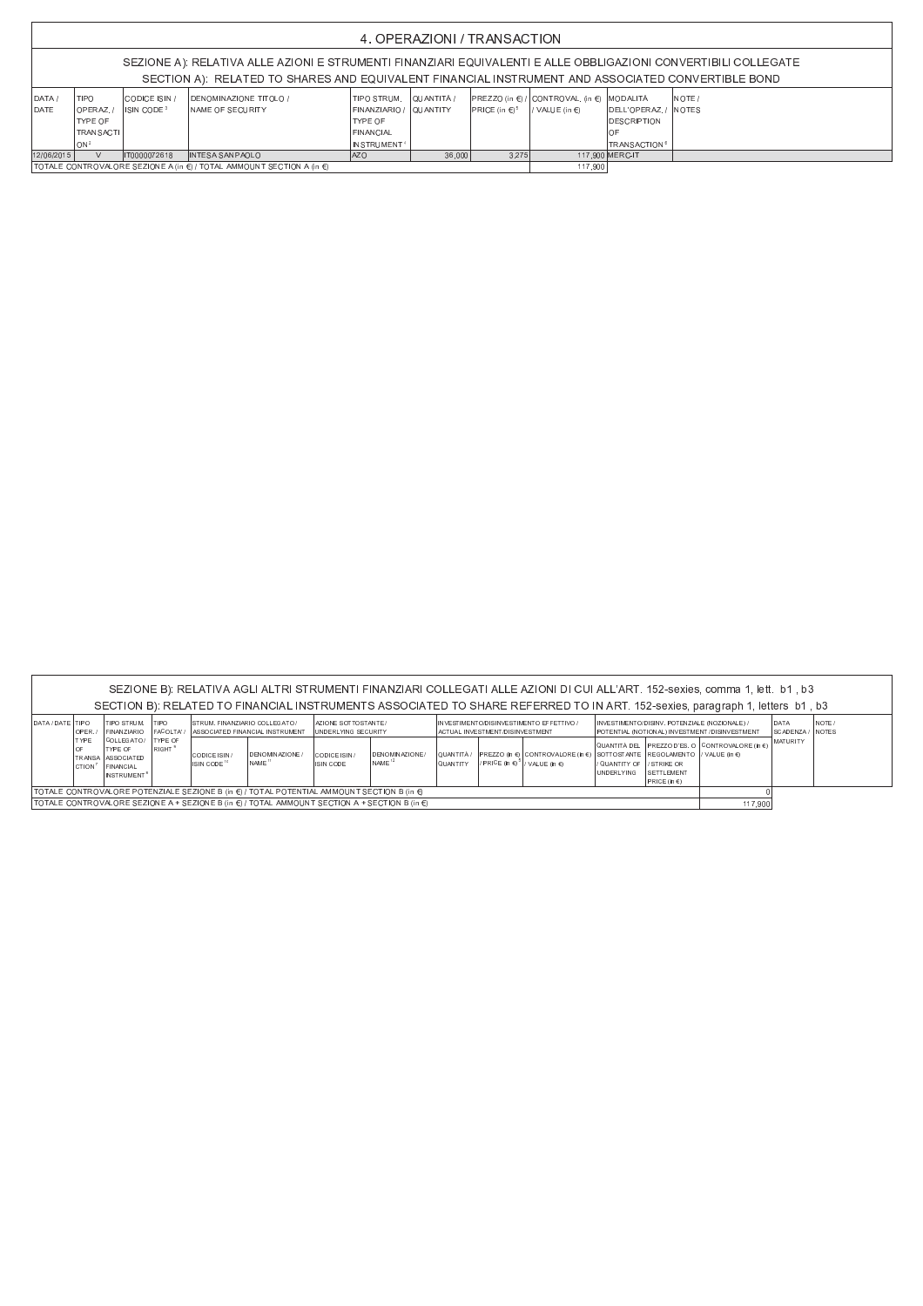| 4. OPERAZIONI / TRANSACTION                                                                                                                                                                                         |                                                                                               |                                         |                                                     |                                                                                                                     |        |                                             |                                                               |                                                                                 |         |  |  |  |
|---------------------------------------------------------------------------------------------------------------------------------------------------------------------------------------------------------------------|-----------------------------------------------------------------------------------------------|-----------------------------------------|-----------------------------------------------------|---------------------------------------------------------------------------------------------------------------------|--------|---------------------------------------------|---------------------------------------------------------------|---------------------------------------------------------------------------------|---------|--|--|--|
| SEZIONE A): RELATIVA ALLE AZIONI E STRUMENTI FINANZIARI EQUIVALENTI E ALLE OBBLIGAZIONI CONVERTIBILI COLLEGATE<br>SECTION A): RELATED TO SHARES AND EQUIVALENT FINANCIAL INSTRUMENT AND ASSOCIATED CONVERTIBLE BOND |                                                                                               |                                         |                                                     |                                                                                                                     |        |                                             |                                                               |                                                                                 |         |  |  |  |
| DATA/<br><b>DATE</b>                                                                                                                                                                                                | <b>TIPO</b><br>OPERAZ./<br><b>TYPE OF</b><br><b>TRANSACTI</b><br>lon <sup>2</sup>             | CODICE ISIN /<br>ISIN CODE <sup>3</sup> | DENOMINAZIONE TITOI O /<br><b>INAME OF SECURITY</b> | TIPO STRUM. QUUANTITÀ /<br>FINANZIARIO / IQUANTITY<br><b>TYPE OF</b><br><b>FINANCIAL</b><br>INSTRUMENT <sup>4</sup> |        | <b>IPRICE</b> (in $\epsilon$ ) <sup>5</sup> | IPREZZO (in €) / CONTROVAL. (in €) MODALITÀ<br>I/VALUE (in €) | <b>IDELL'OPERAZ / INOTES</b><br><b>IDESCRIPTION</b><br>OF<br><b>TRANSACTION</b> | INOTE / |  |  |  |
| 12/06/2015                                                                                                                                                                                                          | $\mathcal{U}$                                                                                 | IT0000072618                            | <b>INTESA SANPAOLO</b>                              | <b>JAZO</b>                                                                                                         | 36,000 | 3.275                                       |                                                               | 117.900 MERC-IT                                                                 |         |  |  |  |
|                                                                                                                                                                                                                     | $ $ TOTALE CONTROVALORE SEZIONE A (in $\epsilon$ ) / TOTAL AMMOUNT SECTION A (in $\epsilon$ ) |                                         |                                                     |                                                                                                                     |        |                                             |                                                               | 117,900                                                                         |         |  |  |  |

|                                                                                                                                                                                                                                                                        | SEZIONE B): RELATIVA AGLI ALTRI STRUMENTI FINANZIARI COLLEGATI ALLE AZIONI DI CUI ALL'ART. 152-sexies, comma 1, lett. b1, b3 |                                                                                                   |                                      |                                          |                                            |                                                     |                                              |                             |                                                                             |                                                                                                                                          |                                                  |                                                                                                 |                                                 |                 |                          |
|------------------------------------------------------------------------------------------------------------------------------------------------------------------------------------------------------------------------------------------------------------------------|------------------------------------------------------------------------------------------------------------------------------|---------------------------------------------------------------------------------------------------|--------------------------------------|------------------------------------------|--------------------------------------------|-----------------------------------------------------|----------------------------------------------|-----------------------------|-----------------------------------------------------------------------------|------------------------------------------------------------------------------------------------------------------------------------------|--------------------------------------------------|-------------------------------------------------------------------------------------------------|-------------------------------------------------|-----------------|--------------------------|
| SECTION B): RELATED TO FINANCIAL INSTRUMENTS ASSOCIATED TO SHARE REFERRED TO IN ART. 152-sexies, paragraph 1, letters b1, b3                                                                                                                                           |                                                                                                                              |                                                                                                   |                                      |                                          |                                            |                                                     |                                              |                             |                                                                             |                                                                                                                                          |                                                  |                                                                                                 |                                                 |                 |                          |
| I DATA / DATE TIPO                                                                                                                                                                                                                                                     | OPER./                                                                                                                       | <b>TIPO STRUM.</b><br><b>FINANZIARIO</b>                                                          | <b>TIPO</b>                          | <b>STRUM. FINANZIARIO COLLEGATO /</b>    | FACOLTA' / ASSOCIATED FINANCIAL INSTRUMENT | AZIONE SOTTOSTANTE /<br><b>JUNDERLYING SECURITY</b> |                                              |                             | INVESTIMENTO/DISINVESTIMENTO EFFETTIVO /<br>ACTUAL INVESTMENT/DISINVESTMENT |                                                                                                                                          |                                                  | INVESTIMENTO/DISINV. POTENZIALE (NOZIONALE) /<br>POTENTIAL (NOTIONAL) INVESTMENT /DISINVESTMENT |                                                 |                 | INOTE /<br><b>INOTES</b> |
|                                                                                                                                                                                                                                                                        | <b>TYPE</b><br>OF<br>CTION                                                                                                   | COLLEGATO/<br><b>ITYPE OF</b><br>TRANSA ASSOCIATED<br><b>FINANCIAL</b><br>INSTRUMENT <sup>8</sup> | <b>TYPE OF</b><br>RIGHT <sup>9</sup> | CODICE ISIN /<br>ISIN CODE <sup>10</sup> | DENOMINAZIONE /<br>I NAME "                | CODICE ISIN /<br>ISIN CODE                          | <b>IDENOMINAZIONE</b><br>INAME <sup>12</sup> | QUANTITÀ<br><b>QUANTITY</b> |                                                                             | PREZZO (in €) CONTROVALORE (in €) SOTTOSTANTE REGOLAMENTO I/ VALUE (in €)<br><sub>I</sub> / PRICE (in €) <sup>5</sup>   / VALUE (in €) . | I QUANTITY OF I I STRIKE OR<br><b>UNDERLYING</b> | SETTLEMENT                                                                                      | QUANTITÀ DEL PREZZO D'ES. O CONTROVALORE (jn €) | <b>MATURITY</b> |                          |
|                                                                                                                                                                                                                                                                        |                                                                                                                              |                                                                                                   |                                      |                                          |                                            |                                                     |                                              |                             |                                                                             |                                                                                                                                          |                                                  |                                                                                                 |                                                 |                 |                          |
| $PRE$ (in $E$ )<br>$ $ TOTALE CONTROVALORE POTENZIALE SEZIONE B (in $\epsilon$ ) / TOTAL POTENTIAL AMMOUNT SECTION B (in $\epsilon$ )<br>ITOTALE CONTROVALORE SEZIONE A + SEZIONE B (in $\epsilon$ ) / TOTAL AMMOUNT SECTION A + SECTION B (in $\epsilon$ )<br>117.900 |                                                                                                                              |                                                                                                   |                                      |                                          |                                            |                                                     |                                              |                             |                                                                             |                                                                                                                                          |                                                  |                                                                                                 |                                                 |                 |                          |